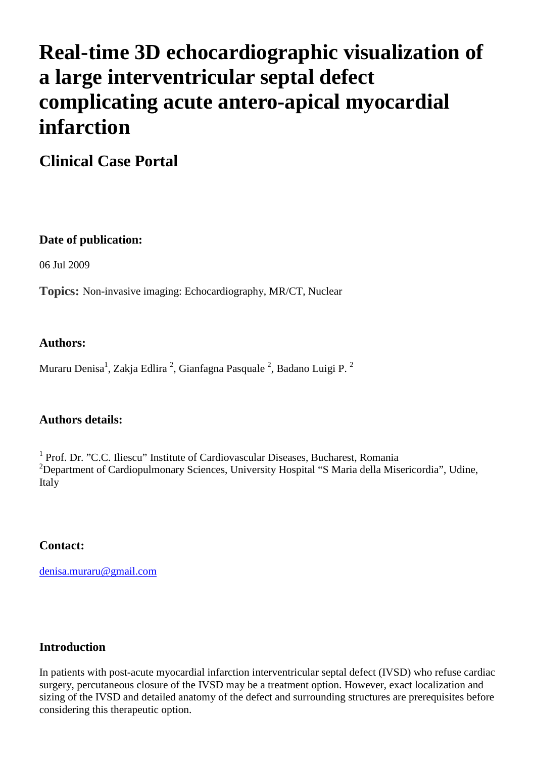# **Real-time 3D echocardiographic visualization of a large interventricular septal defect complicating acute antero-apical myocardial infarction**

**Clinical Case Portal**

## **Date of publication:**

06 Jul 2009

**Topics:** Non-invasive imaging: Echocardiography, MR/CT, Nuclear

## **Authors:**

Muraru Denisa $^1$ , Zakja Edlira  $^2$ , Gianfagna Pasquale  $^2$ , Badano Luigi P.  $^2$ 

### **Authors details:**

<sup>1</sup> Prof. Dr. "C.C. Iliescu" Institute of Cardiovascular Diseases, Bucharest, Romania <sup>2</sup>Department of Cardiopulmonary Sciences, University Hospital "S Maria della Misericordia", Udine, Italy

## **Contact:**

[denisa.muraru@gmail.com](mailto:denisa.muraru@gmail.com) 

## **Introduction**

In patients with post-acute myocardial infarction interventricular septal defect (IVSD) who refuse cardiac surgery, percutaneous closure of the IVSD may be a treatment option. However, exact localization and sizing of the IVSD and detailed anatomy of the defect and surrounding structures are prerequisites before considering this therapeutic option.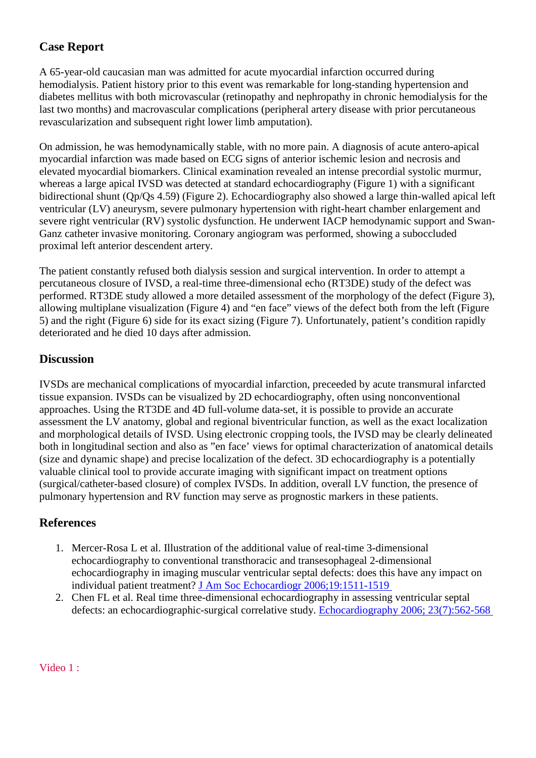# **Case Report**

A 65-year-old caucasian man was admitted for acute myocardial infarction occurred during hemodialysis. Patient history prior to this event was remarkable for long-standing hypertension and diabetes mellitus with both microvascular (retinopathy and nephropathy in chronic hemodialysis for the last two months) and macrovascular complications (peripheral artery disease with prior percutaneous revascularization and subsequent right lower limb amputation).

On admission, he was hemodynamically stable, with no more pain. A diagnosis of acute antero-apical myocardial infarction was made based on ECG signs of anterior ischemic lesion and necrosis and elevated myocardial biomarkers. Clinical examination revealed an intense precordial systolic murmur, whereas a large apical IVSD was detected at standard echocardiography (Figure 1) with a significant bidirectional shunt (Qp/Qs 4.59) (Figure 2). Echocardiography also showed a large thin-walled apical left ventricular (LV) aneurysm, severe pulmonary hypertension with right-heart chamber enlargement and severe right ventricular (RV) systolic dysfunction. He underwent IACP hemodynamic support and Swan-Ganz catheter invasive monitoring. Coronary angiogram was performed, showing a suboccluded proximal left anterior descendent artery.

The patient constantly refused both dialysis session and surgical intervention. In order to attempt a percutaneous closure of IVSD, a real-time three-dimensional echo (RT3DE) study of the defect was performed. RT3DE study allowed a more detailed assessment of the morphology of the defect (Figure 3), allowing multiplane visualization (Figure 4) and "en face" views of the defect both from the left (Figure 5) and the right (Figure 6) side for its exact sizing (Figure 7). Unfortunately, patient's condition rapidly deteriorated and he died 10 days after admission.

### **Discussion**

IVSDs are mechanical complications of myocardial infarction, preceeded by acute transmural infarcted tissue expansion. IVSDs can be visualized by 2D echocardiography, often using nonconventional approaches. Using the RT3DE and 4D full-volume data-set, it is possible to provide an accurate assessment the LV anatomy, global and regional biventricular function, as well as the exact localization and morphological details of IVSD. Using electronic cropping tools, the IVSD may be clearly delineated both in longitudinal section and also as "en face' views for optimal characterization of anatomical details (size and dynamic shape) and precise localization of the defect. 3D echocardiography is a potentially valuable clinical tool to provide accurate imaging with significant impact on treatment options (surgical/catheter-based closure) of complex IVSDs. In addition, overall LV function, the presence of pulmonary hypertension and RV function may serve as prognostic markers in these patients.

### **References**

- 1. Mercer-Rosa L et al. Illustration of the additional value of real-time 3-dimensional echocardiography to conventional transthoracic and transesophageal 2-dimensional echocardiography in imaging muscular ventricular septal defects: does this have any impact on individual patient treatment? [J Am Soc Echocardiogr 2006;19:1511-1519](http://www.ncbi.nlm.nih.gov/pubmed/17138037?log$=activity)
- 2. Chen FL et al. Real time three-dimensional echocardiography in assessing ventricular septal defects: an echocardiographic-surgical correlative study. [Echocardiography 2006; 23\(7\):562-568](http://www.ncbi.nlm.nih.gov/pubmed/16911329?log$=activity)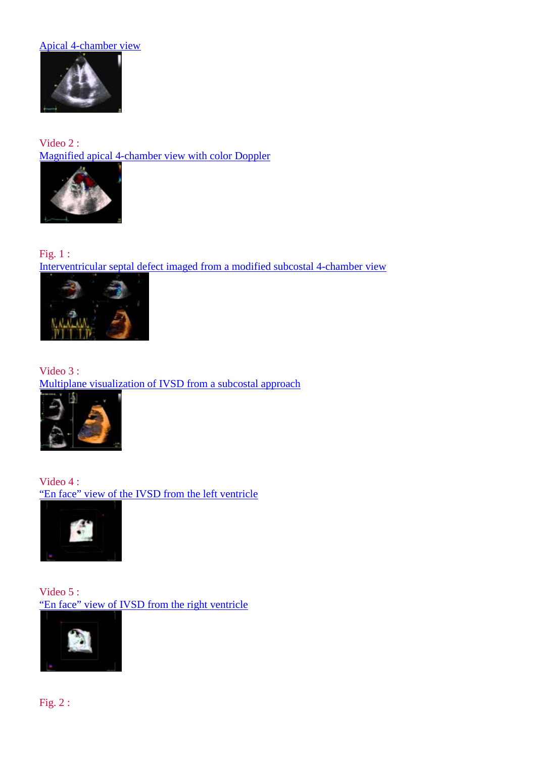#### [Apical 4-chamber view](http://www.youtube.com/watch?v=LD4IHG0GLHA)



Video 2 : [Magnified apical 4-chamber view with color Doppler](http://www.youtube.com/watch?v=7g6NBWo-sZ8)



Fig. 1 : [Interventricular septal defect imaged from a modified subcostal 4-chamber view](http://www.escardio.org/communities/EACVI/CasePortal/EAECasePictures/2cad8031-1111-4777-89db-062f92e48b2e/Figure%203.jpg)



Video 3 : [Multiplane visualization of IVSD from a subcostal approach](http://www.youtube.com/watch?v=hxqpfyMjIFM)



Video 4 : ["En face" view of the IVSD from the left ventricle](http://www.youtube.com/watch?v=NTzdOKWXrNI)



Video 5 : ["En face" view of IVSD from the right ventricle](http://www.youtube.com/watch?v=N9MWFl1rjno)